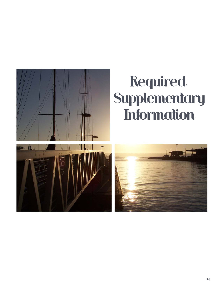

# Required Supplementary **Information**



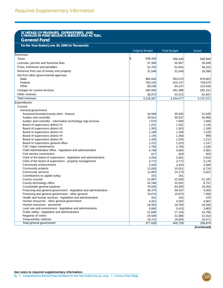### **SCHEDULE OF REVENUES, EXPENDITURES, AND CHANGES IN FUND BALANCE-BUDGET AND ACTUAL General Fund**

**For the Year Ended June 30, 2009 (In Thousands)**

|                                                                    | <b>Original Budget</b> | <b>Final Budget</b> | <b>Actual</b>  |
|--------------------------------------------------------------------|------------------------|---------------------|----------------|
| Revenues:                                                          |                        |                     |                |
| Taxes                                                              | 5<br>938,440           | 938,440             | 930,584        |
| Licenses, permits and franchise fees                               | 37,306                 | 35,967              | 35,838         |
| Fines, forfeitures and penalties                                   | 52,755                 | 52,954              | 56,252         |
| Revenue from use of money and property                             | 31,548                 | 31,548              | 28,396         |
| Aid from other governmental agencies:                              |                        |                     |                |
| <b>State</b>                                                       | 965,544                | 954,576             | 878,902        |
| Federal                                                            | 783,155                | 815,147             | 729,675        |
| Other                                                              | 90,036                 | 94,147              | 134,026        |
| Charges for current services                                       | 280,550                | 281,386             | 282,151        |
| Other revenue                                                      | 38,973                 | 40,312              | 61,847         |
| <b>Total revenues</b>                                              | 3,218,307              | 3,244,477           | 3,137,671      |
| Expenditures:                                                      |                        |                     |                |
|                                                                    |                        |                     |                |
| Current:                                                           |                        |                     |                |
| General government:                                                | 34,568                 | 35,935              | 31,646         |
| Assessor/recorder/county clerk - finance<br>Auditor and controller | 29,914                 | 30,537              | 26,966         |
|                                                                    |                        | 7,690               |                |
| Auditor and controller - information technology mgt services       | 7,570                  | 1,431               | 7,406<br>1,135 |
| Board of supervisors district #1                                   | 1,231                  |                     |                |
| Board of supervisors district #2                                   | 1,303                  | 1,303               | 1,160          |
| Board of supervisors district #3                                   | 1,189                  | 1,258               | 1,225          |
| Board of supervisors district #4                                   | 1,155                  | 1,356               | 986            |
| Board of supervisors district #5                                   | 1,335                  | 1,535               | 1,212          |
| Board of supervisors general office                                | 1,222                  | 1,223               | 1,147          |
| CAC major maintenance                                              | 2,783                  | 2,783               | 1,536          |
| Chief Administrative office - legislative and administrative       | 4,758                  | 4,855               | 4,381          |
| Civil service commission                                           | 617                    | 629                 | 563            |
| Clerk of the board of supervisors - legislative and administrative | 3,254                  | 3,361               | 2,916          |
| Clerk of the board of supervisors - property management            | 3,772                  | 3,772               | 3,176          |
| Community enhancement                                              | 3,420                  | 3,420               | 3,389          |
| Community projects                                                 | 12,005                 | 10,051              | 8,724          |
| Community services                                                 | 11,803                 | 14,179              | 5,021          |
| Contributions to capital outlay                                    | 161                    | 161                 |                |
| County counsel                                                     | 21,897                 | 22,630              | 21,187         |
| County technology office                                           | 10,186                 | 10,281              | 8,757          |
| Countywide general expense                                         | 76,500                 | 93,365              | 19,263         |
| Financing and general government - legislative and administrative  | 36,379                 | 36,437              | 3,000          |
| Financing and general government - other general                   | 15,674                 | 15,674              | 7,056          |
| Health and human services - legislative and administrative         | 431                    | 431                 | 470            |
| Human resources - other general government                         | 4,251                  | 4,352               | 4,067          |
| Human resources - personnel                                        | 18,450                 | 18,780              | 16,346         |
| Land use and environment - legislative and administrative          | 5,860                  | 5,415               | 3,863          |
| Public safety - legislative and administrative                     | 21,690                 | 17,104              | 10,795         |
| Registrar of voters                                                | 25,509                 | 31,686              | 21,010         |
| Treasurer/tax collector                                            | 18,741                 | 19,094              | 18,471         |
| Total general government                                           | 377,628                | 400,728             | 236,874        |

**(Continued)**

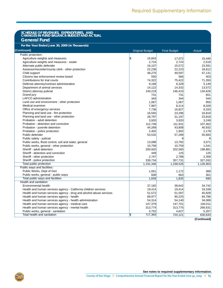#### **SCHEDULE OF REVENUES, EXPENDITURES, AND CHANGES IN FUND BALANCE-BUDGET AND ACTUAL General Fund For the Year Ended June 30, 2009 (In Thousands) (Continued)** Original Budget Final Budget Actual Public protection: Agriculture weights and measures 15,440 17,072 15,440 Agriculture weights and measures - sealer 2,518 2,518 2,724 2,724 2,518 Alternate public defender 15,591 15,591 15,591 15,591 15,591 15,591 15,591 15,591 Assessor/recorder/county clerk - other protection 22,236 22,236 22,232 18,612 Child support 48,275 49,597 47,131 Citizens law enforcement review board 550 566 403 Contributions for trial courts 74,322 75,422 71,393 Defense attorney/contract administration by the contract administration by the contract administration by the contract administration by the contract administration by the contract administration by the contract administra Department of animal services 14,122 14,332 13,572 District attorney-judicial 134,626 136,410 134,626 Grand jury 731 731 651 LAFCO administration and the protection of the control of the control of the control of the control of the control of the control of the control of the control of the control of the control of the control of the control of Land use and environment - other protection 1,067 1,067 1,067 1,067 1,067 1,067 1,067 955 Medical examiner 7,987 8,214 8,028 Office of emergency services and the services of emergency services and the service of emergency services and the service of emergency services and the service of emergency services and the service of emergency services an Planning and land use - fire protection 16,819 16,819 16,819 16,819 Planning and land use - other protection 28,797 23,818 Probation - adult detention 3,920 3,920 3,920 3,920 3,920 Probation - detention and correction 112,749 112,749 111,931 107,462 Probation - juvenile detention 44,269 43,808 40,932 Probation - police protection 2,178<br>Public defender 1,902 2,178<br>
2,53,532 2,178<br>
2,55.683 Public defender 53,532 57,289 55,683 Public safety - judicial 8 8 Public works, flood control, soil and water, general 13,088 13,088 13,782 3,071 Public works, general - other protection 10,759 1,541 1,541 1,541 1,541 1,559 10,759 1,554 Sheriff - adult detention 198,881 200,920 202,560 202,560 202,560 202,560 202,560 202,560 202,560 202,560 202,560 202,560 202,560 202,560 202,560 202,560 202,560 202,560 202,560 202,560 202,560 202,560 202,560 202,560 202, Sheriff - detention and correction and correction and the state of the state of the state of the state of the state of the state of the state of the state of the state of the state of the state of the state of the state of Sheriff - other protection 2,358 2,358 2,358 Sheriff - police protection 327,032 357,731 327,032 Total public protection 1,126,903 1,191,346 1,238,526 1,126,903 Public ways and facilities: Public Works, Dept of Gen 289 and the contract of the contract of the contract of the contract of the contract of the contract of the contract of the contract of the contract of the contract of the contract of the contract Public works, general - public ways 608 663 663 301 Total public ways and facilities 1,659 1,835 690 Health and sanitation: Environmental health  $37,182$   $38,642$   $34,742$ Health and human services agency - California children services 19,414 19,339 19,414 19,339 Health and human services agency - drug and alcohol abuse services  $51,572$  51,572 51,597 45,828 Health and human services agency - health 89,977 88,977 88,977 90,225 84,786 Health and human services agency - health administration <br>
Health and human services agency - medical care **147,379** 147,379 147,701 147,701 140,011 Health and human services agency - medical care 147,379 147,379 147,379 147,701 140,011 Health and human services agency - mental health 313,774 313,774 313,775 313,775 Public works, general - sanitation 6.207 5.207 5.207 5.207 5.207 5,207 5.207 5.207 5.207 5.207 5.207 5.207 5.207 5.207 5.207 5.207 5.207 5.207 5.207 5.207 5.207 5.207 5.207 5.207 5.207 5.207 5.207 5.207 5.207 5.207 5.207 5 Total health and sanitation 630,633 **631,633 632,633 632,633 633 633 633 633 633 633 633 633 633 633 633 633 633 633 633 633 633 633 633 633 633 633 633 633 633 633**

**(Continued)**

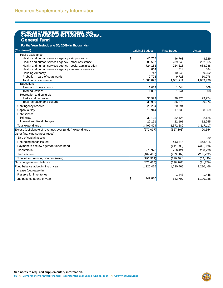#### **SCHEDULE OF REVENUES, EXPENDITURES, AND CHANGES IN FUND BALANCE-BUDGET AND ACTUAL General Fund**

**For the Year Ended June 30, 2009 (In Thousands)**

| the Tear Endoa sand cop Loop (in modernas)                |                                    |                     |            |
|-----------------------------------------------------------|------------------------------------|---------------------|------------|
| (Continued)                                               | <b>Original Budget</b>             | <b>Final Budget</b> | Actual     |
| Public assistance:                                        |                                    |                     |            |
| Health and human services agency - aid programs           | \$<br>46,768                       | 46,768              | 48,529     |
| Health and human services agency - other assistance       | 289,587                            | 289,243             | 282,665    |
| Health and human services agency - social administration  | 724,183                            | 724,618             | 688,088    |
| Health and human services agency - veterans' services     | 814                                | 814                 | 884        |
| <b>Housing Authority</b>                                  | 9,747                              | 10,545              | 9,252      |
| Probation - care of court wards                           | 9,723                              | 9,723               | 10,078     |
| Total public assistance                                   | 1,080,822                          | 1,081,711           | 1,039,496  |
| Education:                                                |                                    |                     |            |
| Farm and home advisor                                     | 1,032                              | 1,044               | 808        |
| Total education:                                          | 1,032                              | 1,044               | 808        |
| Recreation and cultural:                                  |                                    |                     |            |
| Parks and recreation                                      | 35,999                             | 36,375              | 29,274     |
| Total recreation and cultural:                            | 35,999                             | 36,375              | 29,274     |
| Contingency reserve                                       | 20,294                             | 20,294              |            |
| Capital outlay                                            | 16,944                             | 17,330              | 8,059      |
| Debt service:                                             |                                    |                     |            |
| Principal                                                 | 32,125                             | 32,125              | 32,125     |
| Interest and fiscal charges                               | 22,191                             | 22,191              | 12,255     |
| Total expenditures                                        | 3,497,404                          | 3,572,280           | 3,117,117  |
| Excess (deficiency) of revenues over (under) expenditures | (279, 097)                         | (327, 803)          | 20,554     |
| Other financing sources (uses):                           |                                    |                     |            |
| Sale of capital assets                                    |                                    |                     | 29         |
| Refunding bonds issued                                    |                                    | 443,515             | 443,515    |
| Payment to escrow agent/refunded bond                     |                                    | (441, 038)          | (441, 038) |
| Transfers in                                              | 275,926                            | 256,421             | 230,296    |
| Transfers out                                             | (467, 465)                         | (469, 302)          | (285, 232) |
| Total other financing sources (uses)                      | (191, 539)                         | (210, 404)          | (52, 430)  |
| Net change in fund balance                                | (470, 636)                         | (538, 207)          | (31, 876)  |
| Fund balance at beginning of year                         | 1,220,466                          | 1,220,466           | 1,220,466  |
| Increase (decrease) in                                    |                                    |                     |            |
| Reserve for inventories                                   |                                    | 1,448               | 1,448      |
| Fund balance at end of year                               | $\overline{\mathbf{3}}$<br>749,830 | 683,707             | 1,190,038  |

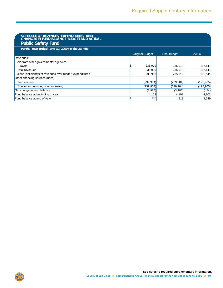| SCHEDULE OF REVENUES, EXPENDITURES, AND<br>CHANGES IN FUND BALANCE-BUDGET AND ACTUAL<br><b>Public Safety Fund</b> |                        |                     |            |
|-------------------------------------------------------------------------------------------------------------------|------------------------|---------------------|------------|
| For the Year Ended June 30, 2009 (In Thousands)                                                                   |                        |                     |            |
|                                                                                                                   | <b>Original Budget</b> | <b>Final Budget</b> | Actual     |
| Revenues:                                                                                                         |                        |                     |            |
| Aid from other governmental agencies:                                                                             |                        |                     |            |
| <b>State</b>                                                                                                      | 235,919                | 235,919             | 195,511    |
| Total revenues                                                                                                    | 235,919                | 235,919             | 195,511    |
| Excess (deficiency) of revenues over (under) expenditures                                                         | 235,919                | 235,919             | 195,511    |
| Other financing sources (uses):                                                                                   |                        |                     |            |
| Transfers out                                                                                                     | (239,904)              | (239,904)           | (195,965)  |
| Total other financing sources (uses)                                                                              | (239,904)              | (239,904)           | (195, 965) |
| Net change in fund balance                                                                                        | (3,985)                | (3,985)             | (454)      |
| Fund balance at beginning of year                                                                                 | 4,103                  | 4,103               | 4,103      |
| Fund balance at end of year                                                                                       | 118                    | 118                 | 3,649      |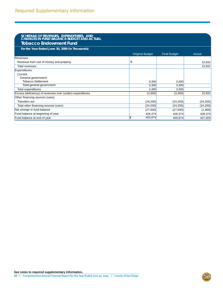#### **SCHEDULE OF REVENUES, EXPENDITURES, AND CHANGES IN FUND BALANCE-BUDGET AND ACTUAL Tobacco Endowment Fund**

| For the Year Ended June 30, 2009 (In Thousands)           |                        |                     |           |
|-----------------------------------------------------------|------------------------|---------------------|-----------|
|                                                           | <b>Original Budget</b> | <b>Final Budget</b> | Actual    |
| Revenues:                                                 |                        |                     |           |
| Revenue from use of money and property                    | \$                     |                     | 22,831    |
| Total revenues                                            |                        |                     | 22,831    |
| Expenditures:                                             |                        |                     |           |
| Current:                                                  |                        |                     |           |
| General government:                                       |                        |                     |           |
| <b>Tobacco Settlement</b>                                 | 3,300                  | 3,300               |           |
| Total general government                                  | 3,300                  | 3,300               |           |
| Total expenditures                                        | 3,300                  | 3,300               |           |
| Excess (deficiency) of revenues over (under) expenditures | (3,300)                | (3,300)             | 22,831    |
| Other financing sources (uses):                           |                        |                     |           |
| Transfers out                                             | (24,200)               | (24,200)            | (24, 200) |
| Total other financing sources (uses)                      | (24,200)               | (24, 200)           | (24,200)  |
| Net change in fund balance                                | (27,500)               | (27,500)            | (1,369)   |
| Fund balance at beginning of year                         | 428,374                | 428,374             | 428,374   |
| Fund balance at end of year                               | \$<br>400,874          | 400,874             | 427,005   |